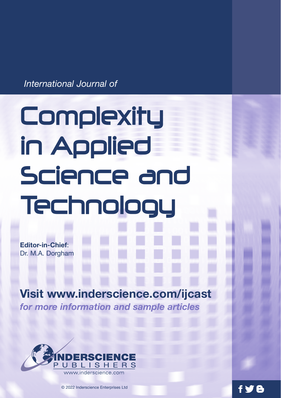*International Journal of*

# **Complexity** in Applied Science and Technology

**Editor-in-Chief**: Dr. M.A. Dorgham

## **Visit www.inderscience.com/ijcast**

*for more information and sample articles*



© 2022 Inderscience Enterprises Ltd